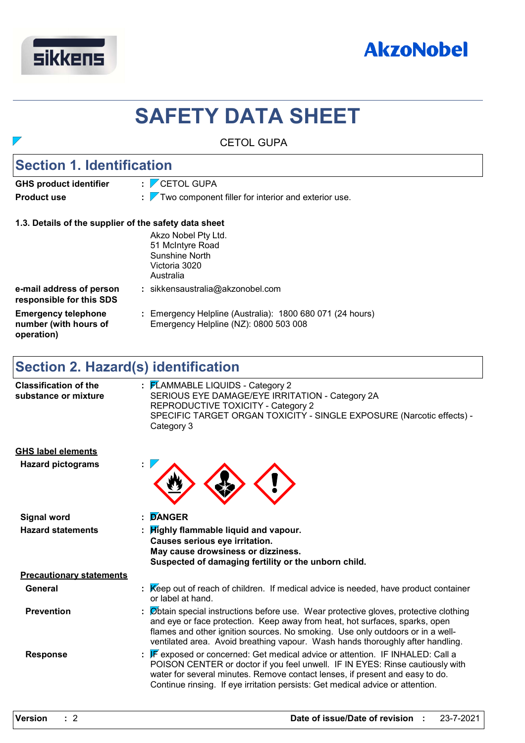



# **SAFETY DATA SHEET**

|                                                                   | <b>CETOL GUPA</b>                                                                                                                                                                                                                                                                                                                      |
|-------------------------------------------------------------------|----------------------------------------------------------------------------------------------------------------------------------------------------------------------------------------------------------------------------------------------------------------------------------------------------------------------------------------|
| <b>Section 1. Identification</b>                                  |                                                                                                                                                                                                                                                                                                                                        |
| <b>GHS product identifier</b>                                     | $\frac{1}{2}$ CETOL GUPA                                                                                                                                                                                                                                                                                                               |
| <b>Product use</b>                                                | $\frac{1}{2}$ Two component filler for interior and exterior use.                                                                                                                                                                                                                                                                      |
| 1.3. Details of the supplier of the safety data sheet             |                                                                                                                                                                                                                                                                                                                                        |
|                                                                   | Akzo Nobel Pty Ltd.<br>51 McIntyre Road<br>Sunshine North<br>Victoria 3020<br>Australia                                                                                                                                                                                                                                                |
| e-mail address of person<br>responsible for this SDS              | : sikkensaustralia@akzonobel.com                                                                                                                                                                                                                                                                                                       |
| <b>Emergency telephone</b><br>number (with hours of<br>operation) | : Emergency Helpline (Australia): 1800 680 071 (24 hours)<br>Emergency Helpline (NZ): 0800 503 008                                                                                                                                                                                                                                     |
| <b>Section 2. Hazard(s) identification</b>                        |                                                                                                                                                                                                                                                                                                                                        |
| <b>Classification of the</b><br>substance or mixture              | : FLAMMABLE LIQUIDS - Category 2<br>SERIOUS EYE DAMAGE/EYE IRRITATION - Category 2A<br>REPRODUCTIVE TOXICITY - Category 2<br>SPECIFIC TARGET ORGAN TOXICITY - SINGLE EXPOSURE (Narcotic effects) -<br>Category 3                                                                                                                       |
| <b>GHS label elements</b>                                         |                                                                                                                                                                                                                                                                                                                                        |
| <b>Hazard pictograms</b>                                          |                                                                                                                                                                                                                                                                                                                                        |
| <b>Signal word</b>                                                | <b>DANGER</b>                                                                                                                                                                                                                                                                                                                          |
| <b>Hazard statements</b>                                          | : Highly flammable liquid and vapour.<br>Causes serious eye irritation.<br>May cause drowsiness or dizziness.<br>Suspected of damaging fertility or the unborn child.                                                                                                                                                                  |
| <b>Precautionary statements</b>                                   |                                                                                                                                                                                                                                                                                                                                        |
| <b>General</b>                                                    | : Keep out of reach of children. If medical advice is needed, have product container<br>or label at hand.                                                                                                                                                                                                                              |
| <b>Prevention</b>                                                 | Øbtain special instructions before use. Wear protective gloves, protective clothing<br>and eye or face protection. Keep away from heat, hot surfaces, sparks, open<br>flames and other ignition sources. No smoking. Use only outdoors or in a well-<br>ventilated area. Avoid breathing vapour. Wash hands thoroughly after handling. |
| <b>Response</b>                                                   | : $\mathbb F$ exposed or concerned: Get medical advice or attention. IF INHALED: Call a<br>POISON CENTER or doctor if you feel unwell. IF IN EYES: Rinse cautiously with<br>water for several minutes. Remove contact lenses, if present and easy to do.                                                                               |

Continue rinsing. If eye irritation persists: Get medical advice or attention.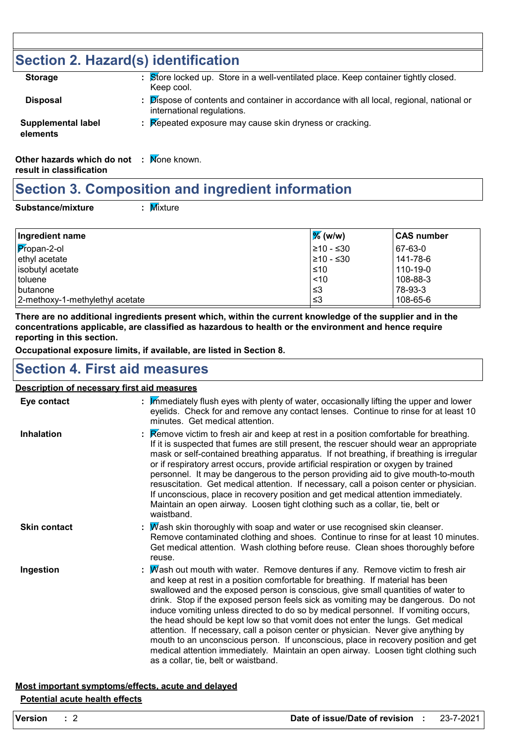# **Section 2. Hazard(s) identification**

| <b>Storage</b>                                                                                                  | : Store locked up. Store in a well-ventilated place. Keep container tightly closed.<br>Keep cool.                   |
|-----------------------------------------------------------------------------------------------------------------|---------------------------------------------------------------------------------------------------------------------|
| <b>Disposal</b>                                                                                                 | Dispose of contents and container in accordance with all local, regional, national or<br>international regulations. |
| <b>Supplemental label</b><br>elements                                                                           | $\mathbb R$ Repeated exposure may cause skin dryness or cracking.                                                   |
| $\bigcirc$ the set is a second second between the set of $\mathbb{R}$ $\mathbb{R}$ and $\mathbb{R}$ is a second |                                                                                                                     |

**Other hazards which do not : Mone known. result in classification**

# **Section 3. Composition and ingredient information**

**Substance/mixture :**

: Mixture

| Ingredient name                 | $\frac{9}{6}$ (w/w) | ⊺CAS number |
|---------------------------------|---------------------|-------------|
| $P$ ropan-2-ol                  | $\geq 10 - 530$     | 67-63-0     |
| ethyl acetate                   | 210 - ≤30           | 141-78-6    |
| isobutyl acetate                | ⊺≤10                | 110-19-0    |
| l toluene                       | ~10                 | 108-88-3    |
| <b>I</b> butanone               | ՝≤3                 | 78-93-3     |
| 2-methoxy-1-methylethyl acetate | צ≥                  | 108-65-6    |

**There are no additional ingredients present which, within the current knowledge of the supplier and in the concentrations applicable, are classified as hazardous to health or the environment and hence require reporting in this section.**

**Occupational exposure limits, if available, are listed in Section 8.**

### **Section 4. First aid measures**

#### **Description of necessary first aid measures**

| Eye contact         | : Immediately flush eyes with plenty of water, occasionally lifting the upper and lower<br>eyelids. Check for and remove any contact lenses. Continue to rinse for at least 10<br>minutes. Get medical attention.                                                                                                                                                                                                                                                                                                                                                                                                                                                                                                                                                                                                             |
|---------------------|-------------------------------------------------------------------------------------------------------------------------------------------------------------------------------------------------------------------------------------------------------------------------------------------------------------------------------------------------------------------------------------------------------------------------------------------------------------------------------------------------------------------------------------------------------------------------------------------------------------------------------------------------------------------------------------------------------------------------------------------------------------------------------------------------------------------------------|
| <b>Inhalation</b>   | <b>Example 2</b> : <b>Remove victim to fresh air and keep at rest in a position comfortable for breathing.</b><br>If it is suspected that fumes are still present, the rescuer should wear an appropriate<br>mask or self-contained breathing apparatus. If not breathing, if breathing is irregular<br>or if respiratory arrest occurs, provide artificial respiration or oxygen by trained<br>personnel. It may be dangerous to the person providing aid to give mouth-to-mouth<br>resuscitation. Get medical attention. If necessary, call a poison center or physician.<br>If unconscious, place in recovery position and get medical attention immediately.<br>Maintain an open airway. Loosen tight clothing such as a collar, tie, belt or<br>waistband.                                                               |
| <b>Skin contact</b> | : $M$ ash skin thoroughly with soap and water or use recognised skin cleanser.<br>Remove contaminated clothing and shoes. Continue to rinse for at least 10 minutes.<br>Get medical attention. Wash clothing before reuse. Clean shoes thoroughly before<br>reuse.                                                                                                                                                                                                                                                                                                                                                                                                                                                                                                                                                            |
| Ingestion           | : Mash out mouth with water. Remove dentures if any. Remove victim to fresh air<br>and keep at rest in a position comfortable for breathing. If material has been<br>swallowed and the exposed person is conscious, give small quantities of water to<br>drink. Stop if the exposed person feels sick as vomiting may be dangerous. Do not<br>induce vomiting unless directed to do so by medical personnel. If vomiting occurs,<br>the head should be kept low so that vomit does not enter the lungs. Get medical<br>attention. If necessary, call a poison center or physician. Never give anything by<br>mouth to an unconscious person. If unconscious, place in recovery position and get<br>medical attention immediately. Maintain an open airway. Loosen tight clothing such<br>as a collar, tie, belt or waistband. |

#### **Most important symptoms/effects, acute and delayed Potential acute health effects**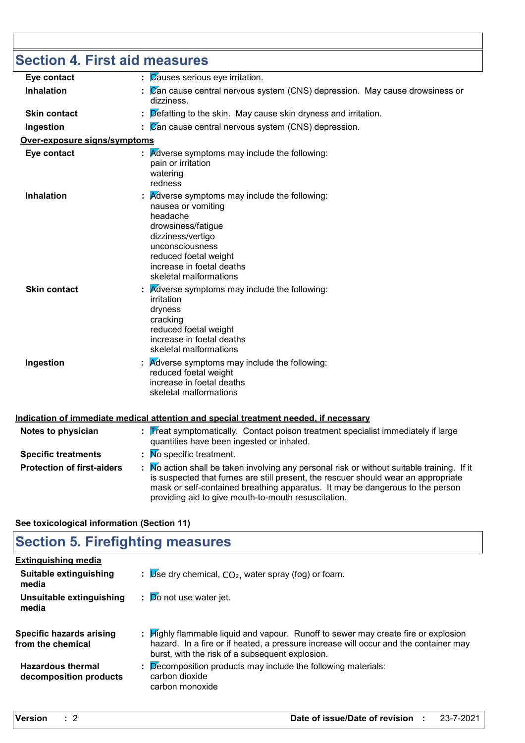| <b>Section 4. First aid measures</b> |                                                                                                                                                                                                                                                                                                                         |
|--------------------------------------|-------------------------------------------------------------------------------------------------------------------------------------------------------------------------------------------------------------------------------------------------------------------------------------------------------------------------|
| Eye contact                          | Causes serious eye irritation.                                                                                                                                                                                                                                                                                          |
| <b>Inhalation</b>                    | Zan cause central nervous system (CNS) depression. May cause drowsiness or<br>dizziness.                                                                                                                                                                                                                                |
| <b>Skin contact</b>                  | Defatting to the skin. May cause skin dryness and irritation.                                                                                                                                                                                                                                                           |
| Ingestion                            | $\overline{\mathcal{C}}$ an cause central nervous system (CNS) depression.                                                                                                                                                                                                                                              |
| <u>Over-exposure signs/symptoms</u>  |                                                                                                                                                                                                                                                                                                                         |
| Eye contact                          | Adverse symptoms may include the following:<br>pain or irritation<br>watering<br>redness                                                                                                                                                                                                                                |
| Inhalation                           | Adverse symptoms may include the following:<br>nausea or vomiting<br>headache<br>drowsiness/fatigue<br>dizziness/vertigo<br>unconsciousness<br>reduced foetal weight<br>increase in foetal deaths<br>skeletal malformations                                                                                             |
| <b>Skin contact</b>                  | Adverse symptoms may include the following:<br>irritation<br>dryness<br>cracking<br>reduced foetal weight<br>increase in foetal deaths<br>skeletal malformations                                                                                                                                                        |
| Ingestion                            | <b>A</b> dverse symptoms may include the following:<br>reduced foetal weight<br>increase in foetal deaths<br>skeletal malformations                                                                                                                                                                                     |
|                                      | Indication of immediate medical attention and special treatment needed, if necessary                                                                                                                                                                                                                                    |
| Notes to physician                   | $\frac{1}{2}$ Treat symptomatically. Contact poison treatment specialist immediately if large<br>quantities have been ingested or inhaled.                                                                                                                                                                              |
| <b>Specific treatments</b>           | $\therefore$ Mo specific treatment.                                                                                                                                                                                                                                                                                     |
| <b>Protection of first-aiders</b>    | : No action shall be taken involving any personal risk or without suitable training. If it<br>is suspected that fumes are still present, the rescuer should wear an appropriate<br>mask or self-contained breathing apparatus. It may be dangerous to the person<br>providing aid to give mouth-to-mouth resuscitation. |

### **See toxicological information (Section 11)**

# **Section 5. Firefighting measures**

| <b>Extinguishing media</b>                         |                                                                                                                                                                                                                               |
|----------------------------------------------------|-------------------------------------------------------------------------------------------------------------------------------------------------------------------------------------------------------------------------------|
| Suitable extinguishing<br>media                    | : $\mathbb{U}$ se dry chemical, $CO2$ , water spray (fog) or foam.                                                                                                                                                            |
| Unsuitable extinguishing<br>media                  | $\mathbf{p}$ $\mathbf{p}$ o not use water jet.                                                                                                                                                                                |
| Specific hazards arising<br>from the chemical      | : Highly flammable liquid and vapour. Runoff to sewer may create fire or explosion<br>hazard. In a fire or if heated, a pressure increase will occur and the container may<br>burst, with the risk of a subsequent explosion. |
| <b>Hazardous thermal</b><br>decomposition products | $\therefore$ Decomposition products may include the following materials:<br>carbon dioxide<br>carbon monoxide                                                                                                                 |
|                                                    |                                                                                                                                                                                                                               |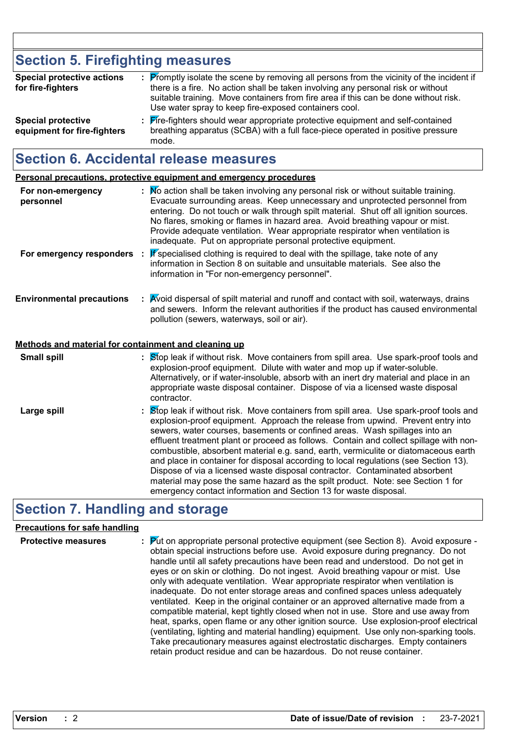# **Section 5. Firefighting measures**

| <b>Special protective actions</b><br>for fire-fighters   | : Promptly isolate the scene by removing all persons from the vicinity of the incident if<br>there is a fire. No action shall be taken involving any personal risk or without<br>suitable training. Move containers from fire area if this can be done without risk.<br>Use water spray to keep fire-exposed containers cool. |
|----------------------------------------------------------|-------------------------------------------------------------------------------------------------------------------------------------------------------------------------------------------------------------------------------------------------------------------------------------------------------------------------------|
| <b>Special protective</b><br>equipment for fire-fighters | : Fire-fighters should wear appropriate protective equipment and self-contained<br>breathing apparatus (SCBA) with a full face-piece operated in positive pressure<br>mode.                                                                                                                                                   |

# **Section 6. Accidental release measures**

**Personal precautions, protective equipment and emergency procedures**

| For non-emergency<br>personnel   | : No action shall be taken involving any personal risk or without suitable training.<br>Evacuate surrounding areas. Keep unnecessary and unprotected personnel from<br>entering. Do not touch or walk through spilt material. Shut off all ignition sources.<br>No flares, smoking or flames in hazard area. Avoid breathing vapour or mist.<br>Provide adequate ventilation. Wear appropriate respirator when ventilation is<br>inadequate. Put on appropriate personal protective equipment. |
|----------------------------------|------------------------------------------------------------------------------------------------------------------------------------------------------------------------------------------------------------------------------------------------------------------------------------------------------------------------------------------------------------------------------------------------------------------------------------------------------------------------------------------------|
| For emergency responders :       | If specialised clothing is required to deal with the spillage, take note of any<br>information in Section 8 on suitable and unsuitable materials. See also the<br>information in "For non-emergency personnel".                                                                                                                                                                                                                                                                                |
| <b>Environmental precautions</b> | : Avoid dispersal of spilt material and runoff and contact with soil, waterways, drains<br>and sewers. Inform the relevant authorities if the product has caused environmental<br>pollution (sewers, waterways, soil or air).                                                                                                                                                                                                                                                                  |

#### **Methods and material for containment and cleaning up**

| <b>Small spill</b> | : Stop leak if without risk. Move containers from spill area. Use spark-proof tools and<br>explosion-proof equipment. Dilute with water and mop up if water-soluble.<br>Alternatively, or if water-insoluble, absorb with an inert dry material and place in an<br>appropriate waste disposal container. Dispose of via a licensed waste disposal<br>contractor.                                                                                                                                                                                                                                                                                                                                    |
|--------------------|-----------------------------------------------------------------------------------------------------------------------------------------------------------------------------------------------------------------------------------------------------------------------------------------------------------------------------------------------------------------------------------------------------------------------------------------------------------------------------------------------------------------------------------------------------------------------------------------------------------------------------------------------------------------------------------------------------|
| Large spill        | : Stop leak if without risk. Move containers from spill area. Use spark-proof tools and<br>explosion-proof equipment. Approach the release from upwind. Prevent entry into<br>sewers, water courses, basements or confined areas. Wash spillages into an<br>effluent treatment plant or proceed as follows. Contain and collect spillage with non-<br>combustible, absorbent material e.g. sand, earth, vermiculite or diatomaceous earth<br>and place in container for disposal according to local regulations (see Section 13).<br>Dispose of via a licensed waste disposal contractor. Contaminated absorbent<br>material may pose the same hazard as the spilt product. Note: see Section 1 for |

emergency contact information and Section 13 for waste disposal.

# **Section 7. Handling and storage**

#### **Precautions for safe handling**

| $\mathbb{P}$ $\mathbb{P}$ (d) Fut on appropriate personal protective equipment (see Section 8). Avoid exposure -<br><b>Protective measures</b><br>obtain special instructions before use. Avoid exposure during pregnancy. Do not<br>handle until all safety precautions have been read and understood. Do not get in<br>eyes or on skin or clothing. Do not ingest. Avoid breathing vapour or mist. Use<br>only with adequate ventilation. Wear appropriate respirator when ventilation is<br>inadequate. Do not enter storage areas and confined spaces unless adequately<br>ventilated. Keep in the original container or an approved alternative made from a<br>compatible material, kept tightly closed when not in use. Store and use away from<br>heat, sparks, open flame or any other ignition source. Use explosion-proof electrical<br>(ventilating, lighting and material handling) equipment. Use only non-sparking tools.<br>Take precautionary measures against electrostatic discharges. Empty containers<br>retain product residue and can be hazardous. Do not reuse container. |  |
|---------------------------------------------------------------------------------------------------------------------------------------------------------------------------------------------------------------------------------------------------------------------------------------------------------------------------------------------------------------------------------------------------------------------------------------------------------------------------------------------------------------------------------------------------------------------------------------------------------------------------------------------------------------------------------------------------------------------------------------------------------------------------------------------------------------------------------------------------------------------------------------------------------------------------------------------------------------------------------------------------------------------------------------------------------------------------------------------------|--|
|---------------------------------------------------------------------------------------------------------------------------------------------------------------------------------------------------------------------------------------------------------------------------------------------------------------------------------------------------------------------------------------------------------------------------------------------------------------------------------------------------------------------------------------------------------------------------------------------------------------------------------------------------------------------------------------------------------------------------------------------------------------------------------------------------------------------------------------------------------------------------------------------------------------------------------------------------------------------------------------------------------------------------------------------------------------------------------------------------|--|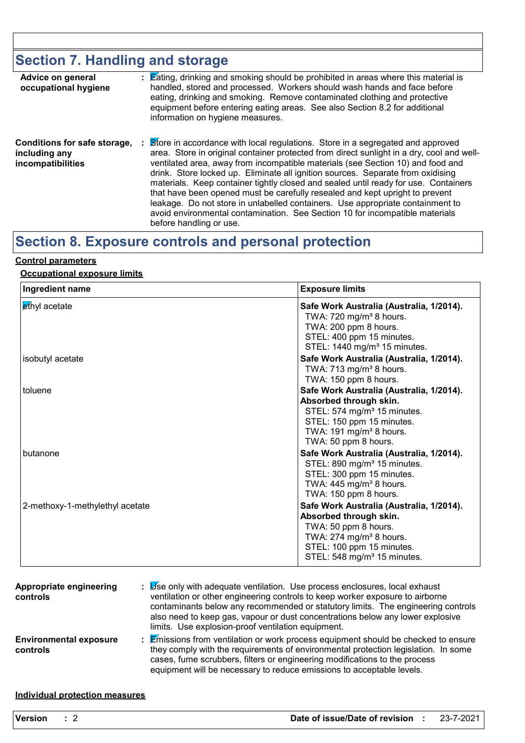# **Section 7. Handling and storage**

| Advice on general<br>occupational hygiene                          | : Eating, drinking and smoking should be prohibited in areas where this material is<br>handled, stored and processed. Workers should wash hands and face before<br>eating, drinking and smoking. Remove contaminated clothing and protective<br>equipment before entering eating areas. See also Section 8.2 for additional<br>information on hygiene measures.                                                                                                                                                                                                                                                                                                                                                             |
|--------------------------------------------------------------------|-----------------------------------------------------------------------------------------------------------------------------------------------------------------------------------------------------------------------------------------------------------------------------------------------------------------------------------------------------------------------------------------------------------------------------------------------------------------------------------------------------------------------------------------------------------------------------------------------------------------------------------------------------------------------------------------------------------------------------|
| Conditions for safe storage,<br>including any<br>incompatibilities | Store in accordance with local regulations. Store in a segregated and approved<br>÷.<br>area. Store in original container protected from direct sunlight in a dry, cool and well-<br>ventilated area, away from incompatible materials (see Section 10) and food and<br>drink. Store locked up. Eliminate all ignition sources. Separate from oxidising<br>materials. Keep container tightly closed and sealed until ready for use. Containers<br>that have been opened must be carefully resealed and kept upright to prevent<br>leakage. Do not store in unlabelled containers. Use appropriate containment to<br>avoid environmental contamination. See Section 10 for incompatible materials<br>before handling or use. |

# **Section 8. Exposure controls and personal protection**

#### **Control parameters**

#### **Occupational exposure limits**

| Ingredient name                 | <b>Exposure limits</b>                                                                                                                                                                                    |
|---------------------------------|-----------------------------------------------------------------------------------------------------------------------------------------------------------------------------------------------------------|
| ethyl acetate                   | Safe Work Australia (Australia, 1/2014).<br>TWA: $720 \text{ mg/m}^3$ 8 hours.<br>TWA: 200 ppm 8 hours.<br>STEL: 400 ppm 15 minutes.<br>STEL: 1440 mg/m <sup>3</sup> 15 minutes.                          |
| isobutyl acetate                | Safe Work Australia (Australia, 1/2014).<br>TWA: $713$ mg/m <sup>3</sup> 8 hours.<br>TWA: 150 ppm 8 hours.                                                                                                |
| toluene                         | Safe Work Australia (Australia, 1/2014).<br>Absorbed through skin.<br>STEL: 574 mg/m <sup>3</sup> 15 minutes.<br>STEL: 150 ppm 15 minutes.<br>TWA: 191 mg/m <sup>3</sup> 8 hours.<br>TWA: 50 ppm 8 hours. |
| butanone                        | Safe Work Australia (Australia, 1/2014).<br>STEL: 890 mg/m <sup>3</sup> 15 minutes.<br>STEL: 300 ppm 15 minutes.<br>TWA: $445$ mg/m <sup>3</sup> 8 hours.<br>TWA: 150 ppm 8 hours.                        |
| 2-methoxy-1-methylethyl acetate | Safe Work Australia (Australia, 1/2014).<br>Absorbed through skin.<br>TWA: 50 ppm 8 hours.<br>TWA: 274 mg/m <sup>3</sup> 8 hours.<br>STEL: 100 ppm 15 minutes.<br>STEL: 548 mg/m <sup>3</sup> 15 minutes. |

| Appropriate engineering<br>controls       | : Se only with adequate ventilation. Use process enclosures, local exhaust<br>ventilation or other engineering controls to keep worker exposure to airborne<br>contaminants below any recommended or statutory limits. The engineering controls<br>also need to keep gas, vapour or dust concentrations below any lower explosive<br>limits. Use explosion-proof ventilation equipment. |
|-------------------------------------------|-----------------------------------------------------------------------------------------------------------------------------------------------------------------------------------------------------------------------------------------------------------------------------------------------------------------------------------------------------------------------------------------|
| <b>Environmental exposure</b><br>controls | : Emissions from ventilation or work process equipment should be checked to ensure<br>they comply with the requirements of environmental protection legislation. In some<br>cases, fume scrubbers, filters or engineering modifications to the process<br>equipment will be necessary to reduce emissions to acceptable levels.                                                         |

#### **Individual protection measures**

| <b>Version</b> |  | Date of issue/Date of revision |  | 23-7-2021 |
|----------------|--|--------------------------------|--|-----------|
|----------------|--|--------------------------------|--|-----------|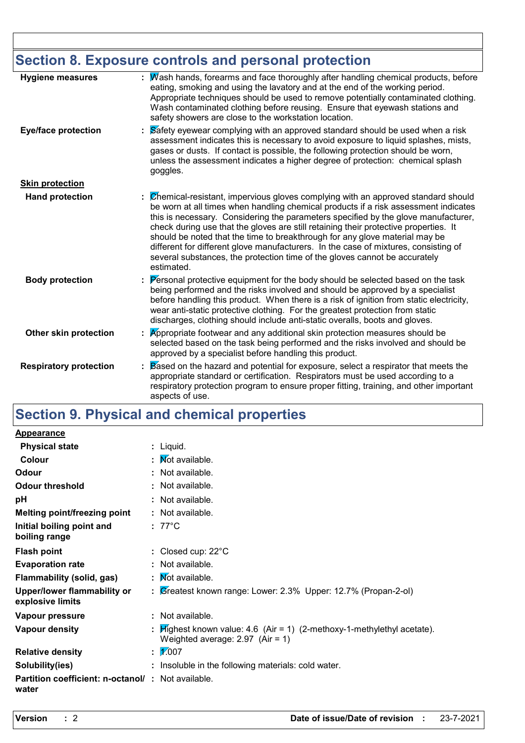# **Section 8. Exposure controls and personal protection**

| <b>Hygiene measures</b>       | Wash hands, forearms and face thoroughly after handling chemical products, before<br>eating, smoking and using the lavatory and at the end of the working period.<br>Appropriate techniques should be used to remove potentially contaminated clothing.<br>Wash contaminated clothing before reusing. Ensure that eyewash stations and<br>safety showers are close to the workstation location.                                                                                                                                                                                                                         |
|-------------------------------|-------------------------------------------------------------------------------------------------------------------------------------------------------------------------------------------------------------------------------------------------------------------------------------------------------------------------------------------------------------------------------------------------------------------------------------------------------------------------------------------------------------------------------------------------------------------------------------------------------------------------|
| <b>Eye/face protection</b>    | Safety eyewear complying with an approved standard should be used when a risk<br>assessment indicates this is necessary to avoid exposure to liquid splashes, mists,<br>gases or dusts. If contact is possible, the following protection should be worn,<br>unless the assessment indicates a higher degree of protection: chemical splash<br>goggles.                                                                                                                                                                                                                                                                  |
| <b>Skin protection</b>        |                                                                                                                                                                                                                                                                                                                                                                                                                                                                                                                                                                                                                         |
| <b>Hand protection</b>        | Chemical-resistant, impervious gloves complying with an approved standard should<br>be worn at all times when handling chemical products if a risk assessment indicates<br>this is necessary. Considering the parameters specified by the glove manufacturer,<br>check during use that the gloves are still retaining their protective properties. It<br>should be noted that the time to breakthrough for any glove material may be<br>different for different glove manufacturers. In the case of mixtures, consisting of<br>several substances, the protection time of the gloves cannot be accurately<br>estimated. |
| <b>Body protection</b>        | Personal protective equipment for the body should be selected based on the task<br>being performed and the risks involved and should be approved by a specialist<br>before handling this product. When there is a risk of ignition from static electricity,<br>wear anti-static protective clothing. For the greatest protection from static<br>discharges, clothing should include anti-static overalls, boots and gloves.                                                                                                                                                                                             |
| Other skin protection         | Appropriate footwear and any additional skin protection measures should be<br>selected based on the task being performed and the risks involved and should be<br>approved by a specialist before handling this product.                                                                                                                                                                                                                                                                                                                                                                                                 |
| <b>Respiratory protection</b> | Based on the hazard and potential for exposure, select a respirator that meets the<br>appropriate standard or certification. Respirators must be used according to a<br>respiratory protection program to ensure proper fitting, training, and other important<br>aspects of use.                                                                                                                                                                                                                                                                                                                                       |

# **Section 9. Physical and chemical properties**

| Appearance                                                        |                                                                                                                  |
|-------------------------------------------------------------------|------------------------------------------------------------------------------------------------------------------|
| <b>Physical state</b>                                             | : Liquid.                                                                                                        |
| Colour                                                            | : Mot available.                                                                                                 |
| Odour                                                             | : Not available.                                                                                                 |
| <b>Odour threshold</b>                                            | : Not available.                                                                                                 |
| рH                                                                | : Not available.                                                                                                 |
| <b>Melting point/freezing point</b>                               | : Not available.                                                                                                 |
| Initial boiling point and<br>boiling range                        | $: 77^{\circ}$ C                                                                                                 |
| <b>Flash point</b>                                                | : Closed cup: $22^{\circ}$ C                                                                                     |
| <b>Evaporation rate</b>                                           | : Not available.                                                                                                 |
| Flammability (solid, gas)                                         | : Mot available.                                                                                                 |
| Upper/lower flammability or<br>explosive limits                   | : Greatest known range: Lower: 2.3% Upper: 12.7% (Propan-2-ol)                                                   |
| Vapour pressure                                                   | : Not available.                                                                                                 |
| Vapour density                                                    | : $H$ ighest known value: 4.6 (Air = 1) (2-methoxy-1-methylethyl acetate).<br>Weighted average: $2.97$ (Air = 1) |
| <b>Relative density</b>                                           | : $\frac{1}{007}$                                                                                                |
| Solubility(ies)                                                   | : Insoluble in the following materials: cold water.                                                              |
| <b>Partition coefficient: n-octanol/: Not available.</b><br>water |                                                                                                                  |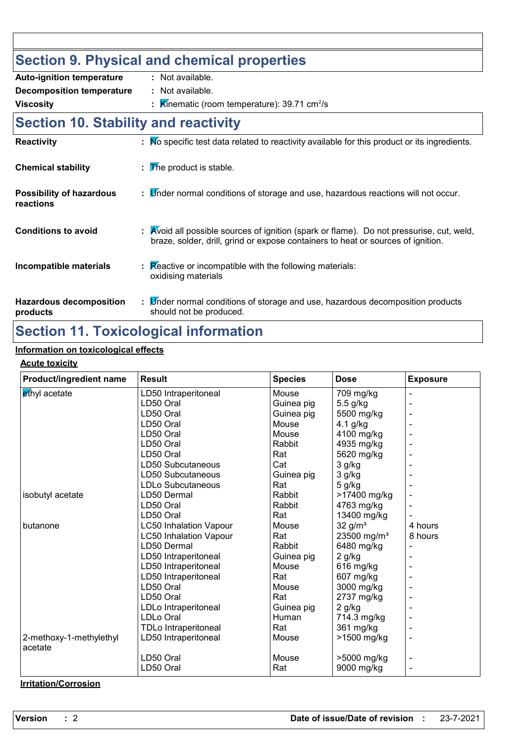#### **Section 9. Physical and chemical properties Auto-ignition temperature** : Not available

| Auto ignition tomporaturo                    |                                                                                                                                                                              |
|----------------------------------------------|------------------------------------------------------------------------------------------------------------------------------------------------------------------------------|
| <b>Decomposition temperature</b>             | : Not available.                                                                                                                                                             |
| <b>Viscosity</b>                             | : $\mathbb{K}$ inematic (room temperature): 39.71 cm <sup>2</sup> /s                                                                                                         |
| <b>Section 10. Stability and reactivity</b>  |                                                                                                                                                                              |
| <b>Reactivity</b>                            | : No specific test data related to reactivity available for this product or its ingredients.                                                                                 |
| <b>Chemical stability</b>                    | $\mathbb F$ The product is stable.                                                                                                                                           |
| <b>Possibility of hazardous</b><br>reactions | : $\mathbb{V}$ nder normal conditions of storage and use, hazardous reactions will not occur.                                                                                |
| <b>Conditions to avoid</b>                   | : Avoid all possible sources of ignition (spark or flame). Do not pressurise, cut, weld,<br>braze, solder, drill, grind or expose containers to heat or sources of ignition. |
| Incompatible materials                       | $\mathbf{R}$ Reactive or incompatible with the following materials:<br>oxidising materials                                                                                   |
| <b>Hazardous decomposition</b><br>products   | : L'inder normal conditions of storage and use, hazardous decomposition products<br>should not be produced.                                                                  |

# **Section 11. Toxicological information**

#### **Information on toxicological effects**

#### **Acute toxicity**

| Product/ingredient name            | <b>Result</b>                 | <b>Species</b> | <b>Dose</b>             | <b>Exposure</b> |
|------------------------------------|-------------------------------|----------------|-------------------------|-----------------|
| ethyl acetate                      | LD50 Intraperitoneal          | Mouse          | 709 mg/kg               |                 |
|                                    | LD50 Oral                     | Guinea pig     | 5.5 g/kg                |                 |
|                                    | LD50 Oral                     | Guinea pig     | 5500 mg/kg              |                 |
|                                    | LD50 Oral                     | Mouse          | 4.1 g/kg                |                 |
|                                    | LD50 Oral                     | Mouse          | 4100 mg/kg              |                 |
|                                    | LD50 Oral                     | Rabbit         | 4935 mg/kg              |                 |
|                                    | LD50 Oral                     | Rat            | 5620 mg/kg              |                 |
|                                    | LD50 Subcutaneous             | Cat            | 3 g/kg                  |                 |
|                                    | LD50 Subcutaneous             | Guinea pig     | 3 g/kg                  |                 |
|                                    | LDLo Subcutaneous             | Rat            | 5 g/kg                  |                 |
| isobutyl acetate                   | LD50 Dermal                   | Rabbit         | >17400 mg/kg            |                 |
|                                    | LD50 Oral                     | Rabbit         | 4763 mg/kg              |                 |
|                                    | LD50 Oral                     | Rat            | 13400 mg/kg             |                 |
| butanone                           | <b>LC50 Inhalation Vapour</b> | Mouse          | $32$ g/m <sup>3</sup>   | 4 hours         |
|                                    | <b>LC50 Inhalation Vapour</b> | Rat            | 23500 mg/m <sup>3</sup> | 8 hours         |
|                                    | LD50 Dermal                   | Rabbit         | 6480 mg/kg              |                 |
|                                    | LD50 Intraperitoneal          | Guinea pig     | $2$ g/kg                |                 |
|                                    | LD50 Intraperitoneal          | Mouse          | 616 mg/kg               |                 |
|                                    | LD50 Intraperitoneal          | Rat            | 607 mg/kg               |                 |
|                                    | LD50 Oral                     | Mouse          | 3000 mg/kg              |                 |
|                                    | LD50 Oral                     | Rat            | 2737 mg/kg              |                 |
|                                    | LDLo Intraperitoneal          | Guinea pig     | $2$ g/kg                |                 |
|                                    | <b>LDLo Oral</b>              | Human          | 714.3 mg/kg             |                 |
|                                    | TDLo Intraperitoneal          | Rat            | 361 mg/kg               |                 |
| 2-methoxy-1-methylethyl<br>acetate | LD50 Intraperitoneal          | Mouse          | >1500 mg/kg             |                 |
|                                    | LD50 Oral                     | Mouse          | >5000 mg/kg             |                 |
|                                    | LD50 Oral                     | Rat            | 9000 mg/kg              |                 |

#### **Irritation/Corrosion**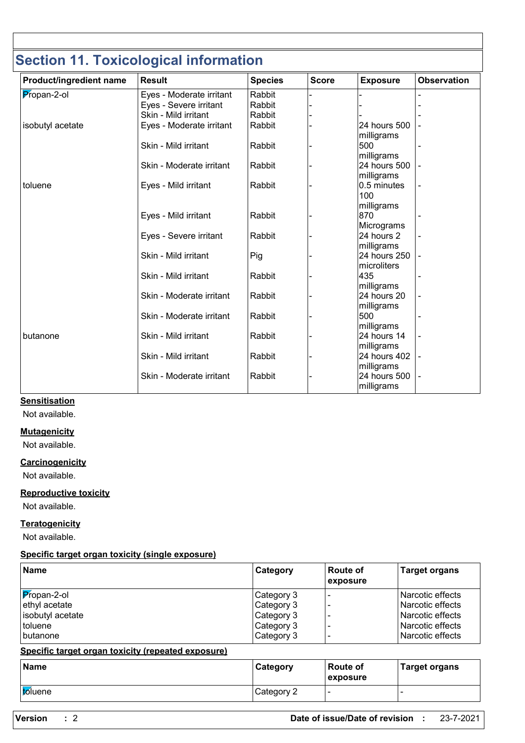# **Section 11. Toxicological information**

| Product/ingredient name | <b>Result</b>            | <b>Species</b> | <b>Score</b> | <b>Exposure</b>                          | <b>Observation</b> |
|-------------------------|--------------------------|----------------|--------------|------------------------------------------|--------------------|
| Propan-2-ol             | Eyes - Moderate irritant | Rabbit         |              |                                          |                    |
|                         | Eyes - Severe irritant   | Rabbit         |              |                                          |                    |
|                         | Skin - Mild irritant     | Rabbit         |              |                                          |                    |
| isobutyl acetate        | Eyes - Moderate irritant | Rabbit         |              | 24 hours 500<br>milligrams               |                    |
|                         | Skin - Mild irritant     | Rabbit         |              | 500<br>milligrams                        |                    |
|                         | Skin - Moderate irritant | Rabbit         |              | 24 hours 500<br>milligrams               |                    |
| toluene                 | Eyes - Mild irritant     | Rabbit         |              | 0.5 minutes<br>100<br>milligrams         |                    |
|                         | Eyes - Mild irritant     | Rabbit         |              | 870<br>Micrograms                        |                    |
|                         | Eyes - Severe irritant   | Rabbit         |              | 24 hours 2                               |                    |
|                         | Skin - Mild irritant     | Pig            |              | milligrams<br>24 hours 250               |                    |
|                         | Skin - Mild irritant     | Rabbit         |              | microliters<br>435                       |                    |
|                         | Skin - Moderate irritant | Rabbit         |              | milligrams<br>24 hours 20                |                    |
|                         | Skin - Moderate irritant | Rabbit         |              | milligrams<br>500                        |                    |
| butanone                | Skin - Mild irritant     | Rabbit         |              | milligrams<br>24 hours 14                |                    |
|                         | Skin - Mild irritant     | Rabbit         |              | milligrams<br>24 hours 402               |                    |
|                         | Skin - Moderate irritant | Rabbit         |              | milligrams<br>24 hours 500<br>milligrams |                    |

#### **Sensitisation**

Not available.

#### **Mutagenicity**

Not available.

**Carcinogenicity**

Not available.

#### **Reproductive toxicity**

Not available.

#### **Teratogenicity**

Not available.

#### **Specific target organ toxicity (single exposure)**

| Category                                             | <b>Route of</b><br>exposure | <b>Target organs</b>                                                                                     |
|------------------------------------------------------|-----------------------------|----------------------------------------------------------------------------------------------------------|
| Category 3<br>Category 3<br>Category 3<br>Category 3 |                             | Narcotic effects<br>l Narcotic effects<br>l Narcotic effects<br>l Narcotic effects<br>l Narcotic effects |
|                                                      | Category 3                  |                                                                                                          |

#### **Specific target organ toxicity (repeated exposure)**

| <b>Name</b>     | Category   | <b>Route of</b><br>exposure | <b>Target organs</b> |
|-----------------|------------|-----------------------------|----------------------|
| <i>to</i> luene | Category 2 | . .                         |                      |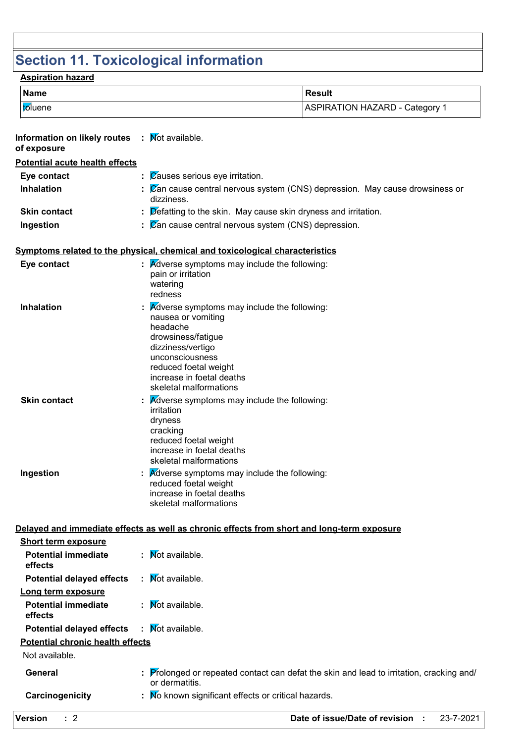# **Section 11. Toxicological information**

### **Aspiration hazard**

| Name           | Result                         |
|----------------|--------------------------------|
| <i>b</i> luene | ASPIRATION HAZARD - Category 1 |

| Information on likely routes : Mot available.<br>of exposure |                                                                                                                                                                                                                                    |
|--------------------------------------------------------------|------------------------------------------------------------------------------------------------------------------------------------------------------------------------------------------------------------------------------------|
| Potential acute health effects                               |                                                                                                                                                                                                                                    |
| Eye contact                                                  | Causes serious eye irritation.                                                                                                                                                                                                     |
| <b>Inhalation</b>                                            | Zan cause central nervous system (CNS) depression. May cause drowsiness or<br>dizziness.                                                                                                                                           |
| <b>Skin contact</b>                                          | Defatting to the skin. May cause skin dryness and irritation.                                                                                                                                                                      |
| Ingestion                                                    | $\mathbb E$ $\mathbb Z$ an cause central nervous system (CNS) depression.                                                                                                                                                          |
|                                                              |                                                                                                                                                                                                                                    |
|                                                              | Symptoms related to the physical, chemical and toxicological characteristics                                                                                                                                                       |
| Eye contact                                                  | $\therefore$ Adverse symptoms may include the following:<br>pain or irritation<br>watering<br>redness                                                                                                                              |
| <b>Inhalation</b>                                            | <b>Adverse symptoms may include the following:</b><br>nausea or vomiting<br>headache<br>drowsiness/fatigue<br>dizziness/vertigo<br>unconsciousness<br>reduced foetal weight<br>increase in foetal deaths<br>skeletal malformations |
| <b>Skin contact</b>                                          | <b>Adverse symptoms may include the following:</b><br>irritation<br>dryness<br>cracking<br>reduced foetal weight<br>increase in foetal deaths<br>skeletal malformations                                                            |
| Ingestion                                                    | <b>A</b> dverse symptoms may include the following:<br>reduced foetal weight<br>increase in foetal deaths<br>skeletal malformations                                                                                                |
|                                                              | Delayed and immediate effects as well as chronic effects from short and long-term exposure                                                                                                                                         |
| <b>Short term exposure</b>                                   |                                                                                                                                                                                                                                    |
| <b>Potential immediate</b><br>effects                        | : Mot available.                                                                                                                                                                                                                   |
| <b>Potential delayed effects</b>                             | : Mot available.                                                                                                                                                                                                                   |
| Long term exposure                                           |                                                                                                                                                                                                                                    |
| <b>Potential immediate</b><br>effects                        | : Mot available.                                                                                                                                                                                                                   |
| <b>Potential delayed effects</b>                             | Not available.                                                                                                                                                                                                                     |
| <b>Potential chronic health effects</b>                      |                                                                                                                                                                                                                                    |
| Not available.                                               |                                                                                                                                                                                                                                    |
| General                                                      | Prolonged or repeated contact can defat the skin and lead to irritation, cracking and/<br>or dermatitis.                                                                                                                           |
| Carcinogenicity                                              | : No known significant effects or critical hazards.                                                                                                                                                                                |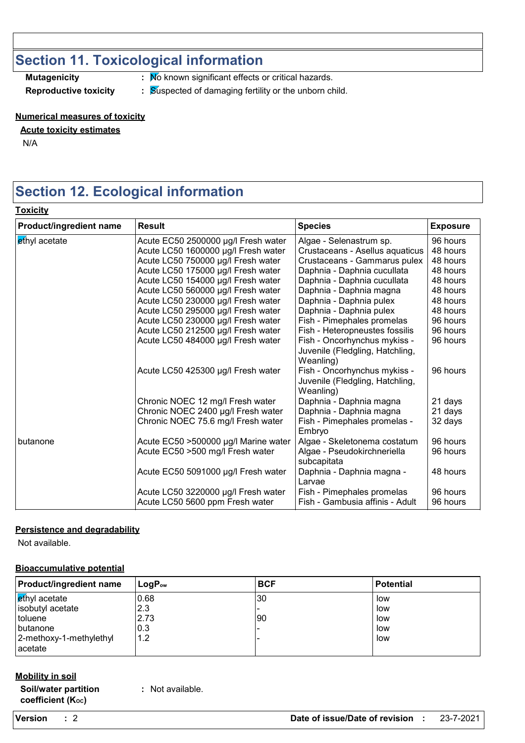# **Section 11. Toxicological information**

**Mutagenicity :** No known significant effects or critical hazards.

**Reproductive toxicity : Suspected of damaging fertility or the unborn child.** 

#### **Numerical measures of toxicity**

#### **Acute toxicity estimates**

N/A

**Toxicity**

# **Section 12. Ecological information**

| Product/ingredient name | <b>Result</b>                        | <b>Species</b>                  | <b>Exposure</b> |
|-------------------------|--------------------------------------|---------------------------------|-----------------|
| ethyl acetate           | Acute EC50 2500000 µg/l Fresh water  | Algae - Selenastrum sp.         | 96 hours        |
|                         | Acute LC50 1600000 µg/l Fresh water  | Crustaceans - Asellus aquaticus | 48 hours        |
|                         | Acute LC50 750000 µg/l Fresh water   | Crustaceans - Gammarus pulex    | 48 hours        |
|                         | Acute LC50 175000 µg/l Fresh water   | Daphnia - Daphnia cucullata     | 48 hours        |
|                         | Acute LC50 154000 µg/l Fresh water   | Daphnia - Daphnia cucullata     | 48 hours        |
|                         | Acute LC50 560000 µg/l Fresh water   | Daphnia - Daphnia magna         | 48 hours        |
|                         | Acute LC50 230000 µg/l Fresh water   | Daphnia - Daphnia pulex         | 48 hours        |
|                         | Acute LC50 295000 µg/l Fresh water   | Daphnia - Daphnia pulex         | 48 hours        |
|                         | Acute LC50 230000 µg/l Fresh water   | Fish - Pimephales promelas      | 96 hours        |
|                         | Acute LC50 212500 µg/l Fresh water   | Fish - Heteropneustes fossilis  | 96 hours        |
|                         | Acute LC50 484000 µg/l Fresh water   | Fish - Oncorhynchus mykiss -    | 96 hours        |
|                         |                                      | Juvenile (Fledgling, Hatchling, |                 |
|                         |                                      | Weanling)                       |                 |
|                         | Acute LC50 425300 µg/l Fresh water   | Fish - Oncorhynchus mykiss -    | 96 hours        |
|                         |                                      | Juvenile (Fledgling, Hatchling, |                 |
|                         |                                      | Weanling)                       |                 |
|                         | Chronic NOEC 12 mg/l Fresh water     | Daphnia - Daphnia magna         | 21 days         |
|                         | Chronic NOEC 2400 µg/l Fresh water   | Daphnia - Daphnia magna         | 21 days         |
|                         | Chronic NOEC 75.6 mg/l Fresh water   | Fish - Pimephales promelas -    | 32 days         |
|                         |                                      | Embryo                          |                 |
| butanone                | Acute EC50 >500000 µg/l Marine water | Algae - Skeletonema costatum    | 96 hours        |
|                         | Acute EC50 >500 mg/l Fresh water     | Algae - Pseudokirchneriella     | 96 hours        |
|                         |                                      | subcapitata                     |                 |
|                         | Acute EC50 5091000 µg/l Fresh water  | Daphnia - Daphnia magna -       | 48 hours        |
|                         |                                      | Larvae                          |                 |
|                         | Acute LC50 3220000 µg/l Fresh water  | Fish - Pimephales promelas      | 96 hours        |
|                         | Acute LC50 5600 ppm Fresh water      | Fish - Gambusia affinis - Adult | 96 hours        |

#### **Persistence and degradability**

Not available.

#### **Bioaccumulative potential**

| <b>Product/ingredient name</b> | $\mathsf{LogP}_\mathsf{ow}$ | <b>BCF</b> | <b>Potential</b> |
|--------------------------------|-----------------------------|------------|------------------|
| ethyl acetate                  | 0.68                        | 30         | low              |
| isobutyl acetate               | 2.3                         |            | low              |
| toluene                        | 2.73                        | 90         | low              |
| <b>I</b> butanone              | 10.3                        |            | low              |
| 2-methoxy-1-methylethyl        | 1.2                         |            | low              |
| acetate                        |                             |            |                  |

#### **Mobility in soil**

**Soil/water partition coefficient (KOC)**

**:** Not available.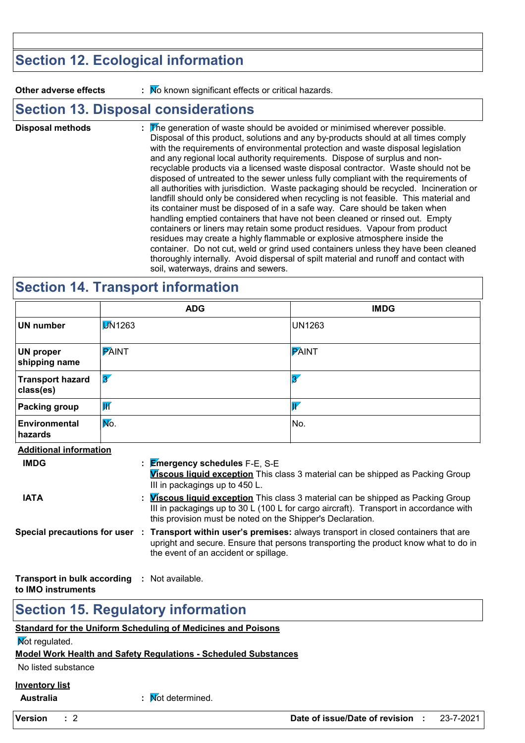# **Section 12. Ecological information**

**Other adverse effects** : No known significant effects or critical hazards.

### **Section 13. Disposal considerations**

The generation of waste should be avoided or minimised wherever possible. Disposal of this product, solutions and any by-products should at all times comply with the requirements of environmental protection and waste disposal legislation and any regional local authority requirements. Dispose of surplus and nonrecyclable products via a licensed waste disposal contractor. Waste should not be disposed of untreated to the sewer unless fully compliant with the requirements of all authorities with jurisdiction. Waste packaging should be recycled. Incineration or landfill should only be considered when recycling is not feasible. This material and its container must be disposed of in a safe way. Care should be taken when handling emptied containers that have not been cleaned or rinsed out. Empty containers or liners may retain some product residues. Vapour from product residues may create a highly flammable or explosive atmosphere inside the container. Do not cut, weld or grind used containers unless they have been cleaned thoroughly internally. Avoid dispersal of spilt material and runoff and contact with soil, waterways, drains and sewers. **Disposal methods :**

### **Section 14. Transport information**

|                                      | <b>ADG</b>                                                                                                                                                                                             | <b>IMDG</b>                                                                                                                                                                                                                                    |  |  |
|--------------------------------------|--------------------------------------------------------------------------------------------------------------------------------------------------------------------------------------------------------|------------------------------------------------------------------------------------------------------------------------------------------------------------------------------------------------------------------------------------------------|--|--|
| <b>UN number</b>                     | <b>DN1263</b>                                                                                                                                                                                          | <b>UN1263</b>                                                                                                                                                                                                                                  |  |  |
| <b>UN proper</b><br>shipping name    | <b>PAINT</b>                                                                                                                                                                                           | <b>PAINT</b>                                                                                                                                                                                                                                   |  |  |
| <b>Transport hazard</b><br>class(es) | $\overline{\mathscr{Z}}$                                                                                                                                                                               | $\overline{3'}$                                                                                                                                                                                                                                |  |  |
| <b>Packing group</b>                 | $\overline{\mathsf{W}}$                                                                                                                                                                                | $\overline{W}$                                                                                                                                                                                                                                 |  |  |
| Environmental<br>hazards             | No.                                                                                                                                                                                                    | No.                                                                                                                                                                                                                                            |  |  |
| <b>Additional information</b>        |                                                                                                                                                                                                        |                                                                                                                                                                                                                                                |  |  |
| <b>IMDG</b>                          |                                                                                                                                                                                                        | : Emergency schedules F-E, S-E<br>Viscous liquid exception This class 3 material can be shipped as Packing Group<br>III in packagings up to 450 L.                                                                                             |  |  |
| <b>IATA</b>                          |                                                                                                                                                                                                        | : <i>Viscous liquid exception</i> This class 3 material can be shipped as Packing Group<br>III in packagings up to 30 L (100 L for cargo aircraft). Transport in accordance with<br>this provision must be noted on the Shipper's Declaration. |  |  |
|                                      | Special precautions for user : Transport within user's premises: always transport in closed containers that are<br>upright and secure. Ensure that persons transporting the product know what to do in |                                                                                                                                                                                                                                                |  |  |

the event of an accident or spillage.

**Transport in bulk according :** Not available. **to IMO instruments**

### **Section 15. Regulatory information**

#### **Standard for the Uniform Scheduling of Medicines and Poisons**

**Not regulated.** 

#### **Model Work Health and Safety Regulations - Scheduled Substances**

No listed substance

#### **Inventory list**

**Australia in the Contract of the Mot determined.**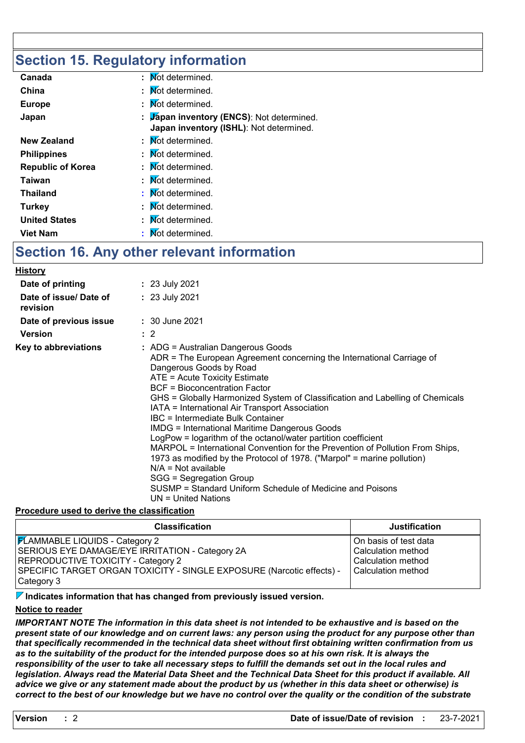# **Section 15. Regulatory information**

| Canada                   | Mot determined.                                                                      |
|--------------------------|--------------------------------------------------------------------------------------|
| China                    | : Mot determined.                                                                    |
| <b>Europe</b>            | : Mot determined.                                                                    |
| Japan                    | : Japan inventory (ENCS): Not determined.<br>Japan inventory (ISHL): Not determined. |
| <b>New Zealand</b>       | : Mot determined.                                                                    |
| <b>Philippines</b>       | : Mot determined.                                                                    |
| <b>Republic of Korea</b> | : Mot determined.                                                                    |
| Taiwan                   | : Mot determined.                                                                    |
| <b>Thailand</b>          | : Mot determined.                                                                    |
| <b>Turkey</b>            | : Mot determined.                                                                    |
| <b>United States</b>     | : Mot determined.                                                                    |
| <b>Viet Nam</b>          | Not determined.                                                                      |

# **Section 16. Any other relevant information**

| <b>History</b>                     |                                                                                                                                                                                                                                                                                                                                                                                                                                                                                                                                                                                                                                                                                                                                                                                                                      |
|------------------------------------|----------------------------------------------------------------------------------------------------------------------------------------------------------------------------------------------------------------------------------------------------------------------------------------------------------------------------------------------------------------------------------------------------------------------------------------------------------------------------------------------------------------------------------------------------------------------------------------------------------------------------------------------------------------------------------------------------------------------------------------------------------------------------------------------------------------------|
| Date of printing                   | : 23 July 2021                                                                                                                                                                                                                                                                                                                                                                                                                                                                                                                                                                                                                                                                                                                                                                                                       |
| Date of issue/ Date of<br>revision | : 23 July 2021                                                                                                                                                                                                                                                                                                                                                                                                                                                                                                                                                                                                                                                                                                                                                                                                       |
| Date of previous issue             | : 30 June 2021                                                                                                                                                                                                                                                                                                                                                                                                                                                                                                                                                                                                                                                                                                                                                                                                       |
| <b>Version</b>                     | $\therefore$ 2                                                                                                                                                                                                                                                                                                                                                                                                                                                                                                                                                                                                                                                                                                                                                                                                       |
| Key to abbreviations               | : ADG = Australian Dangerous Goods<br>ADR = The European Agreement concerning the International Carriage of<br>Dangerous Goods by Road<br>ATE = Acute Toxicity Estimate<br><b>BCF</b> = Bioconcentration Factor<br>GHS = Globally Harmonized System of Classification and Labelling of Chemicals<br>IATA = International Air Transport Association<br>IBC = Intermediate Bulk Container<br><b>IMDG = International Maritime Dangerous Goods</b><br>LogPow = logarithm of the octanol/water partition coefficient<br>MARPOL = International Convention for the Prevention of Pollution From Ships,<br>1973 as modified by the Protocol of 1978. ("Marpol" = marine pollution)<br>$N/A = Not available$<br>SGG = Segregation Group<br>SUSMP = Standard Uniform Schedule of Medicine and Poisons<br>UN = United Nations |

#### **Procedure used to derive the classification**

| <b>Classification</b>                                                 | <b>Justification</b>  |
|-----------------------------------------------------------------------|-----------------------|
| <b>FLAMMABLE LIQUIDS - Category 2</b>                                 | On basis of test data |
| SERIOUS EYE DAMAGE/EYE IRRITATION - Category 2A                       | Calculation method    |
| <b>REPRODUCTIVE TOXICITY - Category 2</b>                             | Calculation method    |
| SPECIFIC TARGET ORGAN TOXICITY - SINGLE EXPOSURE (Narcotic effects) - | Calculation method    |
| Category 3                                                            |                       |

#### **Indicates information that has changed from previously issued version.**

#### **Notice to reader**

*IMPORTANT NOTE The information in this data sheet is not intended to be exhaustive and is based on the present state of our knowledge and on current laws: any person using the product for any purpose other than that specifically recommended in the technical data sheet without first obtaining written confirmation from us as to the suitability of the product for the intended purpose does so at his own risk. It is always the responsibility of the user to take all necessary steps to fulfill the demands set out in the local rules and legislation. Always read the Material Data Sheet and the Technical Data Sheet for this product if available. All advice we give or any statement made about the product by us (whether in this data sheet or otherwise) is correct to the best of our knowledge but we have no control over the quality or the condition of the substrate*